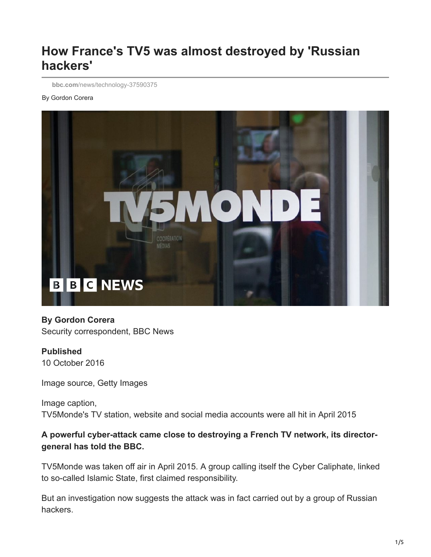# **How France's TV5 was almost destroyed by 'Russian hackers'**

**bbc.com**[/news/technology-37590375](https://www.bbc.com/news/technology-37590375)

#### By Gordon Corera



#### **By Gordon Corera**

Security correspondent, BBC News

#### **Published**

10 October 2016

Image source, Getty Images

Image caption, TV5Monde's TV station, website and social media accounts were all hit in April 2015

#### **A powerful cyber-attack came close to destroying a French TV network, its directorgeneral has told the BBC.**

TV5Monde was taken off air in April 2015. A group calling itself the Cyber Caliphate, linked to so-called Islamic State, first claimed responsibility.

But an investigation now suggests the attack was in fact carried out by a group of Russian hackers.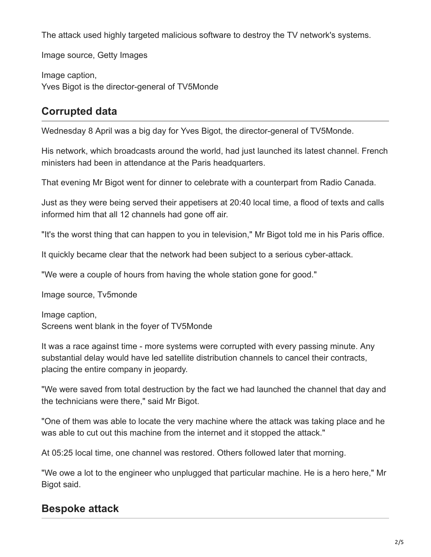The attack used highly targeted malicious software to destroy the TV network's systems.

Image source, Getty Images

Image caption, Yves Bigot is the director-general of TV5Monde

# **Corrupted data**

Wednesday 8 April was a big day for Yves Bigot, the director-general of TV5Monde.

His network, which broadcasts around the world, had just launched its latest channel. French ministers had been in attendance at the Paris headquarters.

That evening Mr Bigot went for dinner to celebrate with a counterpart from Radio Canada.

Just as they were being served their appetisers at 20:40 local time, a flood of texts and calls informed him that all 12 channels had gone off air.

"It's the worst thing that can happen to you in television," Mr Bigot told me in his Paris office.

It quickly became clear that the network had been subject to a serious cyber-attack.

"We were a couple of hours from having the whole station gone for good."

Image source, Tv5monde

Image caption, Screens went blank in the foyer of TV5Monde

It was a race against time - more systems were corrupted with every passing minute. Any substantial delay would have led satellite distribution channels to cancel their contracts, placing the entire company in jeopardy.

"We were saved from total destruction by the fact we had launched the channel that day and the technicians were there," said Mr Bigot.

"One of them was able to locate the very machine where the attack was taking place and he was able to cut out this machine from the internet and it stopped the attack."

At 05:25 local time, one channel was restored. Others followed later that morning.

"We owe a lot to the engineer who unplugged that particular machine. He is a hero here," Mr Bigot said.

# **Bespoke attack**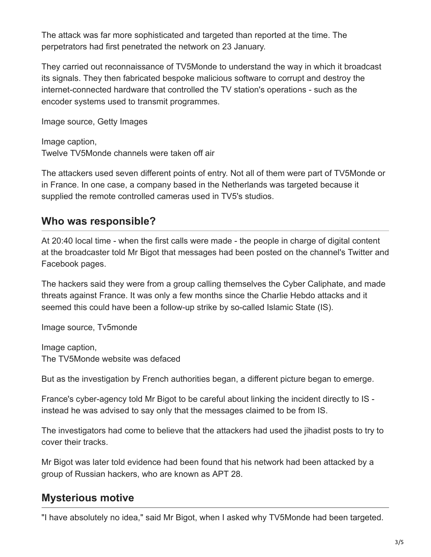The attack was far more sophisticated and targeted than reported at the time. The perpetrators had first penetrated the network on 23 January.

They carried out reconnaissance of TV5Monde to understand the way in which it broadcast its signals. They then fabricated bespoke malicious software to corrupt and destroy the internet-connected hardware that controlled the TV station's operations - such as the encoder systems used to transmit programmes.

Image source, Getty Images

Image caption, Twelve TV5Monde channels were taken off air

The attackers used seven different points of entry. Not all of them were part of TV5Monde or in France. In one case, a company based in the Netherlands was targeted because it supplied the remote controlled cameras used in TV5's studios.

### **Who was responsible?**

At 20:40 local time - when the first calls were made - the people in charge of digital content at the broadcaster told Mr Bigot that messages had been posted on the channel's Twitter and Facebook pages.

The hackers said they were from a group calling themselves the Cyber Caliphate, and made threats against France. It was only a few months since the Charlie Hebdo attacks and it seemed this could have been a follow-up strike by so-called Islamic State (IS).

Image source, Tv5monde

Image caption, The TV5Monde website was defaced

But as the investigation by French authorities began, a different picture began to emerge.

France's cyber-agency told Mr Bigot to be careful about linking the incident directly to IS instead he was advised to say only that the messages claimed to be from IS.

The investigators had come to believe that the attackers had used the jihadist posts to try to cover their tracks.

Mr Bigot was later told evidence had been found that his network had been attacked by a group of Russian hackers, who are known as APT 28.

### **Mysterious motive**

"I have absolutely no idea," said Mr Bigot, when I asked why TV5Monde had been targeted.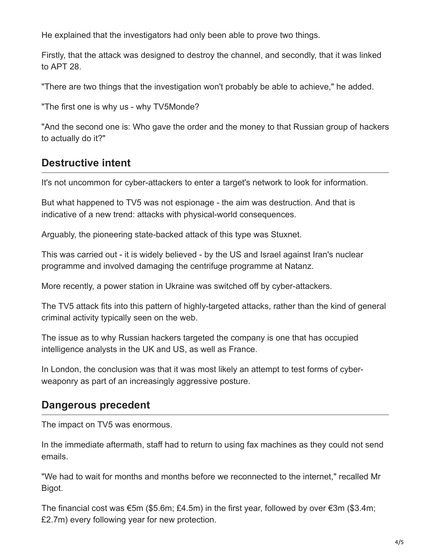He explained that the investigators had only been able to prove two things.

Firstly, that the attack was designed to destroy the channel, and secondly, that it was linked to APT 28.

"There are two things that the investigation won't probably be able to achieve," he added.

"The first one is why us - why TV5Monde?

"And the second one is: Who gave the order and the money to that Russian group of hackers to actually do it?"

## **Destructive intent**

It's not uncommon for cyber-attackers to enter a target's network to look for information.

But what happened to TV5 was not espionage - the aim was destruction. And that is indicative of a new trend: attacks with physical-world consequences.

Arguably, the pioneering state-backed attack of this type was Stuxnet.

This was carried out - it is widely believed - by the US and Israel against Iran's nuclear programme and involved damaging the centrifuge programme at Natanz.

More recently, a power station in Ukraine was switched off by cyber-attackers.

The TV5 attack fits into this pattern of highly-targeted attacks, rather than the kind of general criminal activity typically seen on the web.

The issue as to why Russian hackers targeted the company is one that has occupied intelligence analysts in the UK and US, as well as France.

In London, the conclusion was that it was most likely an attempt to test forms of cyberweaponry as part of an increasingly aggressive posture.

### **Dangerous precedent**

The impact on TV5 was enormous.

In the immediate aftermath, staff had to return to using fax machines as they could not send emails.

"We had to wait for months and months before we reconnected to the internet," recalled Mr Bigot.

The financial cost was  $\epsilon$ 5m (\$5.6m; £4.5m) in the first year, followed by over  $\epsilon$ 3m (\$3.4m; £2.7m) every following year for new protection.